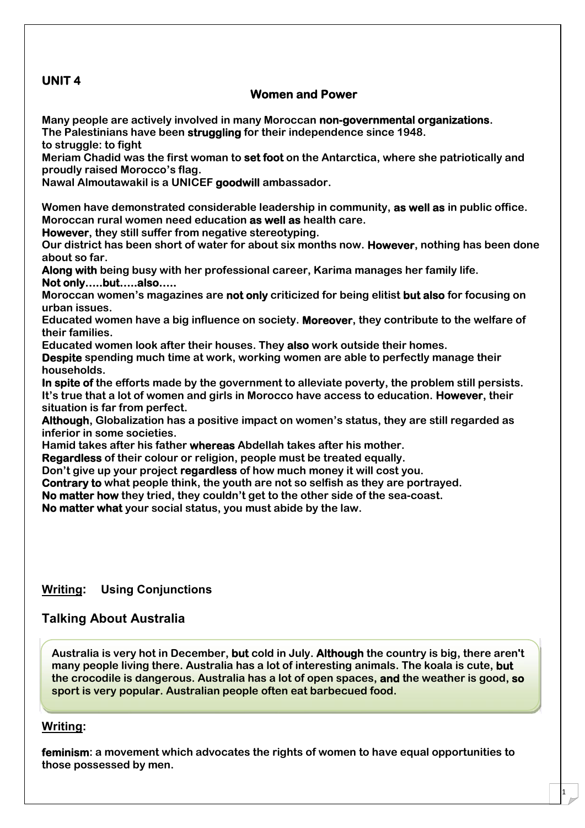# **UNIT 4**

## **Women and Power**

**Many people are actively involved in many Moroccan non-governmental organizations. The Palestinians have been struggling for their independence since 1948.**

**to struggle: to fight**

**Meriam Chadid was the first woman to set foot on the Antarctica, where she patriotically and proudly raised Morocco's flag.**

**Nawal Almoutawakil is a UNICEF goodwill ambassador.**

**Women have demonstrated considerable leadership in community, as well as in public office. Moroccan rural women need education as well as health care.**

**However, they still suffer from negative stereotyping.**

**Our district has been short of water for about six months now. However, nothing has been done about so far.**

**Along with being busy with her professional career, Karima manages her family life. Not only…..but…..also…..**

**Moroccan women's magazines are not only criticized for being elitist but also for focusing on urban issues.**

**Educated women have a big influence on society. Moreover, they contribute to the welfare of their families.**

**Educated women look after their houses. They also work outside their homes.**

**Despite spending much time at work, working women are able to perfectly manage their households.**

**In spite of the efforts made by the government to alleviate poverty, the problem still persists. It's true that a lot of women and girls in Morocco have access to education. However, their situation is far from perfect.**

**Although, Globalization has a positive impact on women's status, they are still regarded as inferior in some societies.**

**Hamid takes after his father whereas Abdellah takes after his mother.**

**Regardless of their colour or religion, people must be treated equally.**

**Don't give up your project regardless of how much money it will cost you.**

**Contrary to what people think, the youth are not so selfish as they are portrayed.**

**No matter how they tried, they couldn't get to the other side of the sea-coast.**

**No matter what your social status, you must abide by the law.**

**Writing: Using Conjunctions**

## **Talking About Australia**

**Australia is very hot in December, but cold in July. Although the country is big, there aren't many people living there. Australia has a lot of interesting animals. The koala is cute, but the crocodile is dangerous. Australia has a lot of open spaces, and the weather is good, so sport is very popular. Australian people often eat barbecued food.**

## **Writing:**

**feminism: a movement which advocates the rights of women to have equal opportunities to those possessed by men.**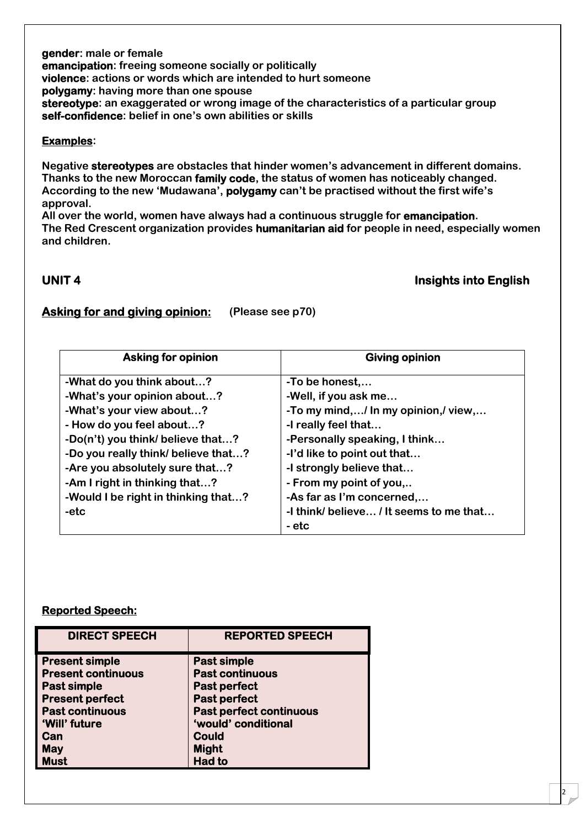**gender: male or female emancipation: freeing someone socially or politically violence: actions or words which are intended to hurt someone polygamy: having more than one spouse stereotype: an exaggerated or wrong image of the characteristics of a particular group self-confidence: belief in one's own abilities or skills**

## **Examples:**

**Negative stereotypes are obstacles that hinder women's advancement in different domains. Thanks to the new Moroccan family code, the status of women has noticeably changed. According to the new 'Mudawana', polygamy can't be practised without the first wife's approval.**

**All over the world, women have always had a continuous struggle for emancipation. The Red Crescent organization provides humanitarian aid for people in need, especially women and children.**

## **UNIT 4 Insights into English**

2 |

## **Asking for and giving opinion: (Please see p70)**

| <b>Asking for opinion</b>           | <b>Giving opinion</b>                   |  |
|-------------------------------------|-----------------------------------------|--|
| -What do you think about?           | -To be honest,                          |  |
| -What's your opinion about?         | -Well, if you ask me                    |  |
| -What's your view about?            | -To my mind,/ In my opinion,/ view,     |  |
| - How do you feel about?            | -I really feel that                     |  |
| -Do(n't) you think/ believe that?   | -Personally speaking, I think           |  |
| -Do you really think/ believe that? | -I'd like to point out that             |  |
| -Are you absolutely sure that?      | -I strongly believe that                |  |
| -Am I right in thinking that?       | - From my point of you,                 |  |
| -Would I be right in thinking that? | -As far as I'm concerned,               |  |
| -etc                                | -I think/ believe / It seems to me that |  |
|                                     | - etc                                   |  |

## **Reported Speech:**

| <b>DIRECT SPEECH</b>      | <b>REPORTED SPEECH</b>         |
|---------------------------|--------------------------------|
| <b>Present simple</b>     | <b>Past simple</b>             |
| <b>Present continuous</b> | <b>Past continuous</b>         |
| Past simple               | <b>Past perfect</b>            |
| <b>Present perfect</b>    | <b>Past perfect</b>            |
| <b>Past continuous</b>    | <b>Past perfect continuous</b> |
| 'Will' future             | 'would' conditional            |
| Can                       | <b>Could</b>                   |
| <b>May</b>                | <b>Might</b>                   |
| <b>Must</b>               | <b>Had to</b>                  |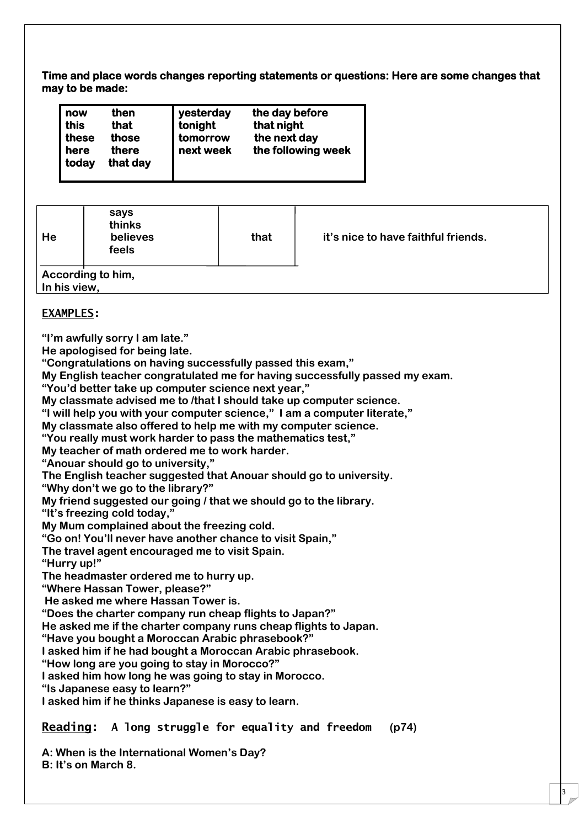**Time and place words changes reporting statements or questions: Here are some changes that may to be made:**

| yesterday<br>then<br>now<br>tonight<br>this<br>that<br>these<br>those<br>tomorrow<br>next week<br>there<br>here<br>today<br>that day |
|--------------------------------------------------------------------------------------------------------------------------------------|
|--------------------------------------------------------------------------------------------------------------------------------------|

| He           | says<br>thinks<br>believes<br>feels | that | it's nice to have faithful friends. |
|--------------|-------------------------------------|------|-------------------------------------|
| In his view, | According to him,                   |      |                                     |

## **EXAMPLES:**

**"I'm awfully sorry I am late."**

**He apologised for being late.**

**"Congratulations on having successfully passed this exam,"**

**My English teacher congratulated me for having successfully passed my exam.**

**"You'd better take up computer science next year,"**

**My classmate advised me to /that I should take up computer science.**

**"I will help you with your computer science," I am a computer literate,"**

**My classmate also offered to help me with my computer science.**

**"You really must work harder to pass the mathematics test,"**

**My teacher of math ordered me to work harder.**

**"Anouar should go to university,"**

**The English teacher suggested that Anouar should go to university.**

**"Why don't we go to the library?"**

**My friend suggested our going / that we should go to the library.**

**"It's freezing cold today,"**

**My Mum complained about the freezing cold.**

**"Go on! You'll never have another chance to visit Spain,"**

**The travel agent encouraged me to visit Spain.**

**"Hurry up!"**

**The headmaster ordered me to hurry up.**

**"Where Hassan Tower, please?"**

**He asked me where Hassan Tower is.**

**"Does the charter company run cheap flights to Japan?"**

**He asked me if the charter company runs cheap flights to Japan.**

**"Have you bought a Moroccan Arabic phrasebook?"**

**I asked him if he had bought a Moroccan Arabic phrasebook.**

**"How long are you going to stay in Morocco?"**

**I asked him how long he was going to stay in Morocco.**

**"Is Japanese easy to learn?"**

**I asked him if he thinks Japanese is easy to learn.**

**Reading: A long struggle for equality and freedom (p74)**

3

**A: When is the International Women's Day? B: It's on March 8.**